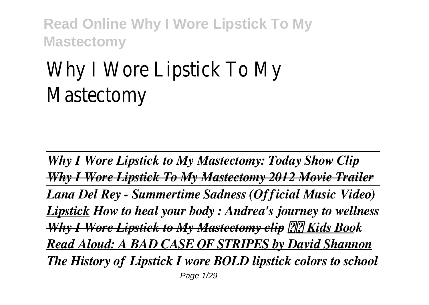# Why I Wore Lipstick To My Mastectomy

*Why I Wore Lipstick to My Mastectomy: Today Show Clip Why I Wore Lipstick To My Mastectomy 2012 Movie Trailer Lana Del Rey - Summertime Sadness (Official Music Video) Lipstick How to heal your body : Andrea's journey to wellness Why I Wore Lipstick to My Mastectomy clip Kids Book Read Aloud: A BAD CASE OF STRIPES by David Shannon The History of Lipstick I wore BOLD lipstick colors to school* Page 1/29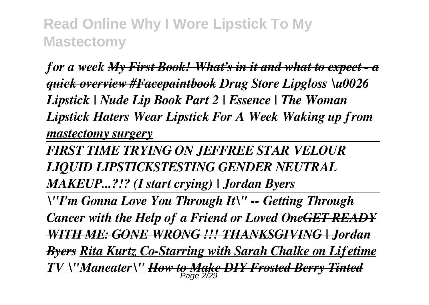*for a week My First Book! What's in it and what to expect - a quick overview #Facepaintbook Drug Store Lipgloss \u0026 Lipstick | Nude Lip Book Part 2 | Essence | The Woman Lipstick Haters Wear Lipstick For A Week Waking up from mastectomy surgery*

*FIRST TIME TRYING ON JEFFREE STAR VELOUR LIQUID LIPSTICKSTESTING GENDER NEUTRAL*

*MAKEUP...?!? (I start crying) | Jordan Byers*

*\"I'm Gonna Love You Through It\" -- Getting Through Cancer with the Help of a Friend or Loved OneGET READY WITH ME: GONE WRONG !!! THANKSGIVING | Jordan Byers Rita Kurtz Co-Starring with Sarah Chalke on Lifetime TV \"Maneater\" How to Make DIY Frosted Berry Tinted* Page 2/29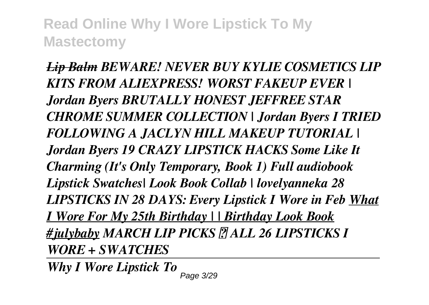*Lip Balm BEWARE! NEVER BUY KYLIE COSMETICS LIP KITS FROM ALIEXPRESS! WORST FAKEUP EVER | Jordan Byers BRUTALLY HONEST JEFFREE STAR CHROME SUMMER COLLECTION | Jordan Byers I TRIED FOLLOWING A JACLYN HILL MAKEUP TUTORIAL | Jordan Byers 19 CRAZY LIPSTICK HACKS Some Like It Charming (It's Only Temporary, Book 1) Full audiobook Lipstick Swatches| Look Book Collab | lovelyanneka 28 LIPSTICKS IN 28 DAYS: Every Lipstick I Wore in Feb What I Wore For My 25th Birthday | | Birthday Look Book #julybaby MARCH LIP PICKS │ ALL 26 LIPSTICKS I WORE + SWATCHES*

*Why I Wore Lipstick To*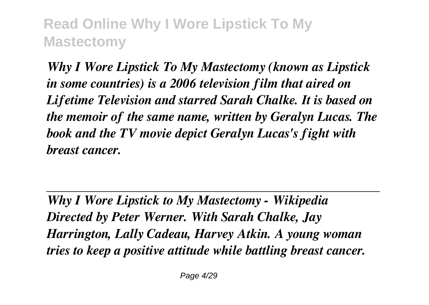*Why I Wore Lipstick To My Mastectomy (known as Lipstick in some countries) is a 2006 television film that aired on Lifetime Television and starred Sarah Chalke. It is based on the memoir of the same name, written by Geralyn Lucas. The book and the TV movie depict Geralyn Lucas's fight with breast cancer.*

*Why I Wore Lipstick to My Mastectomy - Wikipedia Directed by Peter Werner. With Sarah Chalke, Jay Harrington, Lally Cadeau, Harvey Atkin. A young woman tries to keep a positive attitude while battling breast cancer.*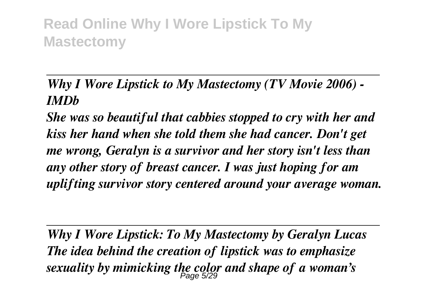#### *Why I Wore Lipstick to My Mastectomy (TV Movie 2006) - IMDb*

*She was so beautiful that cabbies stopped to cry with her and kiss her hand when she told them she had cancer. Don't get me wrong, Geralyn is a survivor and her story isn't less than any other story of breast cancer. I was just hoping for am uplifting survivor story centered around your average woman.*

*Why I Wore Lipstick: To My Mastectomy by Geralyn Lucas The idea behind the creation of lipstick was to emphasize sexuality by mimicking the color and shape of a woman's* Page 5/29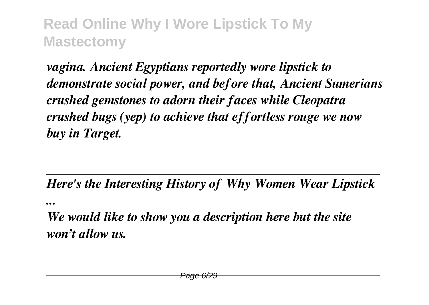*vagina. Ancient Egyptians reportedly wore lipstick to demonstrate social power, and before that, Ancient Sumerians crushed gemstones to adorn their faces while Cleopatra crushed bugs (yep) to achieve that effortless rouge we now buy in Target.*

*Here's the Interesting History of Why Women Wear Lipstick*

*...*

*We would like to show you a description here but the site won't allow us.*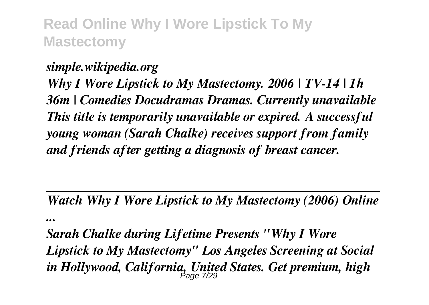*simple.wikipedia.org Why I Wore Lipstick to My Mastectomy. 2006 | TV-14 | 1h 36m | Comedies Docudramas Dramas. Currently unavailable This title is temporarily unavailable or expired. A successful young woman (Sarah Chalke) receives support from family and friends after getting a diagnosis of breast cancer.*

*Watch Why I Wore Lipstick to My Mastectomy (2006) Online ...*

*Sarah Chalke during Lifetime Presents "Why I Wore Lipstick to My Mastectomy" Los Angeles Screening at Social in Hollywood, California, United States. Get premium, high* Page 7/29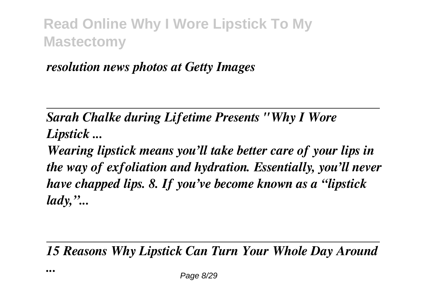*resolution news photos at Getty Images*

*...*

*Sarah Chalke during Lifetime Presents "Why I Wore Lipstick ...*

*Wearing lipstick means you'll take better care of your lips in the way of exfoliation and hydration. Essentially, you'll never have chapped lips. 8. If you've become known as a "lipstick lady,"...*

*15 Reasons Why Lipstick Can Turn Your Whole Day Around*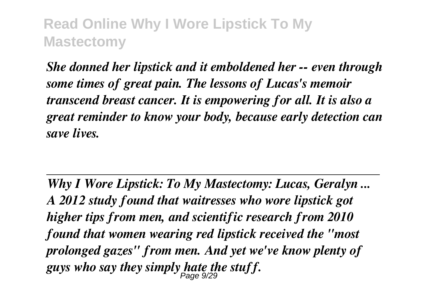*She donned her lipstick and it emboldened her -- even through some times of great pain. The lessons of Lucas's memoir transcend breast cancer. It is empowering for all. It is also a great reminder to know your body, because early detection can save lives.*

*Why I Wore Lipstick: To My Mastectomy: Lucas, Geralyn ... A 2012 study found that waitresses who wore lipstick got higher tips from men, and scientific research from 2010 found that women wearing red lipstick received the "most prolonged gazes" from men. And yet we've know plenty of guys who say they simply hate the stuff.* Page 9/29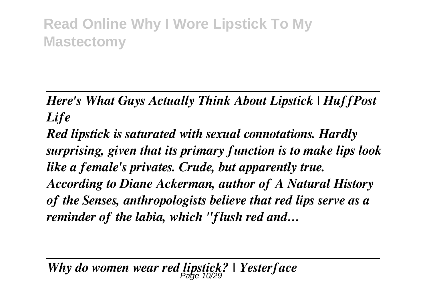*Here's What Guys Actually Think About Lipstick | HuffPost Life*

*Red lipstick is saturated with sexual connotations. Hardly surprising, given that its primary function is to make lips look like a female's privates. Crude, but apparently true. According to Diane Ackerman, author of A Natural History of the Senses, anthropologists believe that red lips serve as a reminder of the labia, which "flush red and…*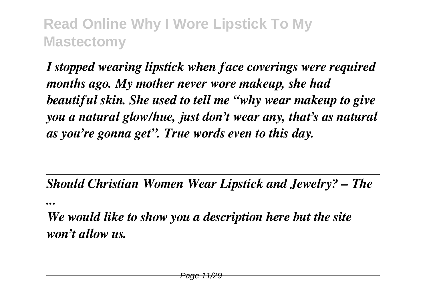*I stopped wearing lipstick when face coverings were required months ago. My mother never wore makeup, she had beautiful skin. She used to tell me "why wear makeup to give you a natural glow/hue, just don't wear any, that's as natural as you're gonna get". True words even to this day.*

*Should Christian Women Wear Lipstick and Jewelry? – The*

*...*

*We would like to show you a description here but the site won't allow us.*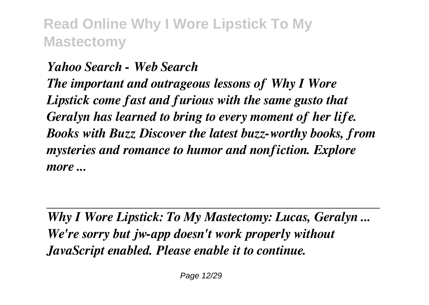*Yahoo Search - Web Search The important and outrageous lessons of Why I Wore Lipstick come fast and furious with the same gusto that Geralyn has learned to bring to every moment of her life. Books with Buzz Discover the latest buzz-worthy books, from mysteries and romance to humor and nonfiction. Explore more ...*

*Why I Wore Lipstick: To My Mastectomy: Lucas, Geralyn ... We're sorry but jw-app doesn't work properly without JavaScript enabled. Please enable it to continue.*

Page 12/29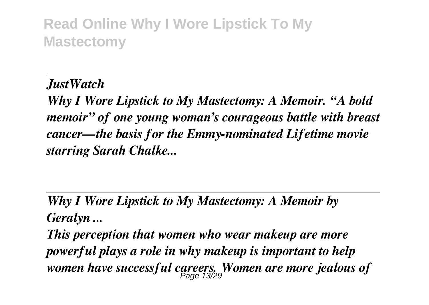*JustWatch*

*Why I Wore Lipstick to My Mastectomy: A Memoir. "A bold memoir" of one young woman's courageous battle with breast cancer—the basis for the Emmy-nominated Lifetime movie starring Sarah Chalke...*

*Why I Wore Lipstick to My Mastectomy: A Memoir by Geralyn ...*

*This perception that women who wear makeup are more powerful plays a role in why makeup is important to help women have successful careers. Women are more jealous of* Page 13/29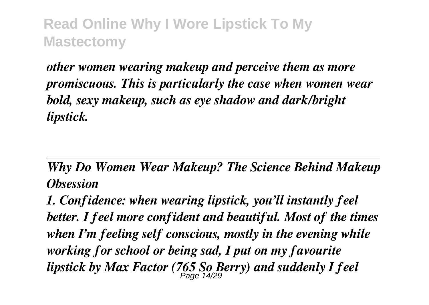*other women wearing makeup and perceive them as more promiscuous. This is particularly the case when women wear bold, sexy makeup, such as eye shadow and dark/bright lipstick.*

*Why Do Women Wear Makeup? The Science Behind Makeup Obsession*

*1. Confidence: when wearing lipstick, you'll instantly feel better. I feel more confident and beautiful. Most of the times when I'm feeling self conscious, mostly in the evening while working for school or being sad, I put on my favourite lipstick by Max Factor (765 So Berry) and suddenly I feel* Page 14/29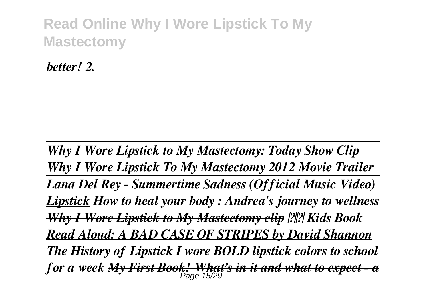*better! 2.*

*Why I Wore Lipstick to My Mastectomy: Today Show Clip Why I Wore Lipstick To My Mastectomy 2012 Movie Trailer Lana Del Rey - Summertime Sadness (Official Music Video) Lipstick How to heal your body : Andrea's journey to wellness Why I Wore Lipstick to My Mastectomy clip Kids Book Read Aloud: A BAD CASE OF STRIPES by David Shannon The History of Lipstick I wore BOLD lipstick colors to school for a week My First Book! What's in it and what to expect - a* Page 15/29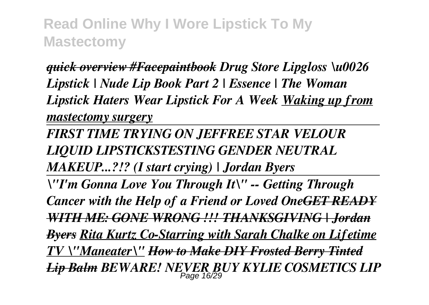*quick overview #Facepaintbook Drug Store Lipgloss \u0026 Lipstick | Nude Lip Book Part 2 | Essence | The Woman Lipstick Haters Wear Lipstick For A Week Waking up from mastectomy surgery*

*FIRST TIME TRYING ON JEFFREE STAR VELOUR LIQUID LIPSTICKSTESTING GENDER NEUTRAL MAKEUP...?!? (I start crying) | Jordan Byers*

*\"I'm Gonna Love You Through It\" -- Getting Through Cancer with the Help of a Friend or Loved OneGET READY WITH ME: GONE WRONG !!! THANKSGIVING | Jordan Byers Rita Kurtz Co-Starring with Sarah Chalke on Lifetime TV \"Maneater\" How to Make DIY Frosted Berry Tinted Lip Balm BEWARE! NEVER BUY KYLIE COSMETICS LIP* Page 16/29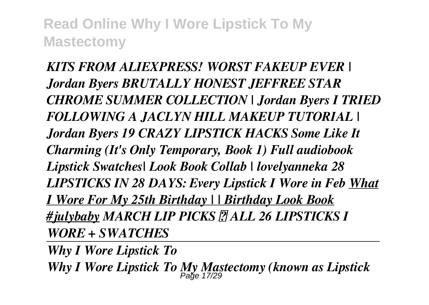*KITS FROM ALIEXPRESS! WORST FAKEUP EVER | Jordan Byers BRUTALLY HONEST JEFFREE STAR CHROME SUMMER COLLECTION | Jordan Byers I TRIED FOLLOWING A JACLYN HILL MAKEUP TUTORIAL | Jordan Byers 19 CRAZY LIPSTICK HACKS Some Like It Charming (It's Only Temporary, Book 1) Full audiobook Lipstick Swatches| Look Book Collab | lovelyanneka 28 LIPSTICKS IN 28 DAYS: Every Lipstick I Wore in Feb What I Wore For My 25th Birthday | | Birthday Look Book #julybaby MARCH LIP PICKS │ ALL 26 LIPSTICKS I WORE + SWATCHES*

*Why I Wore Lipstick To* Why I Wore Lipstick To My Mastectomy (known as Lipstick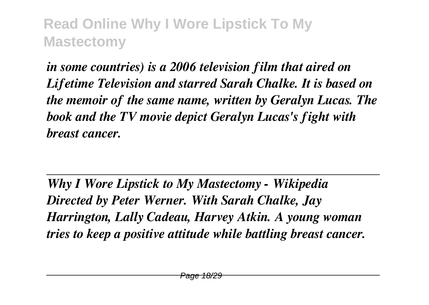*in some countries) is a 2006 television film that aired on Lifetime Television and starred Sarah Chalke. It is based on the memoir of the same name, written by Geralyn Lucas. The book and the TV movie depict Geralyn Lucas's fight with breast cancer.*

*Why I Wore Lipstick to My Mastectomy - Wikipedia Directed by Peter Werner. With Sarah Chalke, Jay Harrington, Lally Cadeau, Harvey Atkin. A young woman tries to keep a positive attitude while battling breast cancer.*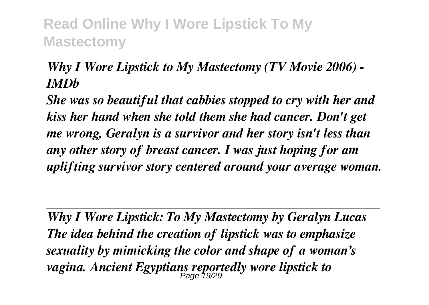#### *Why I Wore Lipstick to My Mastectomy (TV Movie 2006) - IMDb*

*She was so beautiful that cabbies stopped to cry with her and kiss her hand when she told them she had cancer. Don't get me wrong, Geralyn is a survivor and her story isn't less than any other story of breast cancer. I was just hoping for am uplifting survivor story centered around your average woman.*

*Why I Wore Lipstick: To My Mastectomy by Geralyn Lucas The idea behind the creation of lipstick was to emphasize sexuality by mimicking the color and shape of a woman's vagina. Ancient Egyptians reportedly wore lipstick to* Page 19/29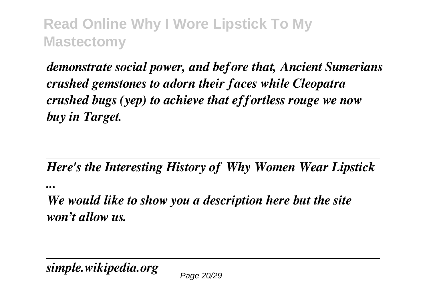*demonstrate social power, and before that, Ancient Sumerians crushed gemstones to adorn their faces while Cleopatra crushed bugs (yep) to achieve that effortless rouge we now buy in Target.*

#### *Here's the Interesting History of Why Women Wear Lipstick*

*...*

*We would like to show you a description here but the site won't allow us.*

*simple.wikipedia.org*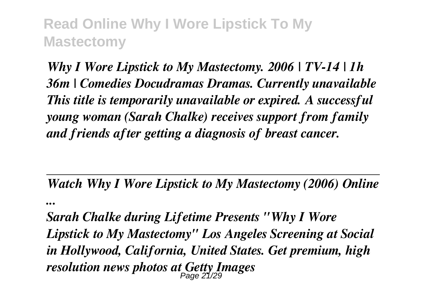*...*

*Why I Wore Lipstick to My Mastectomy. 2006 | TV-14 | 1h 36m | Comedies Docudramas Dramas. Currently unavailable This title is temporarily unavailable or expired. A successful young woman (Sarah Chalke) receives support from family and friends after getting a diagnosis of breast cancer.*

*Watch Why I Wore Lipstick to My Mastectomy (2006) Online*

*Sarah Chalke during Lifetime Presents "Why I Wore Lipstick to My Mastectomy" Los Angeles Screening at Social in Hollywood, California, United States. Get premium, high resolution news photos at Getty Images* Page 21/29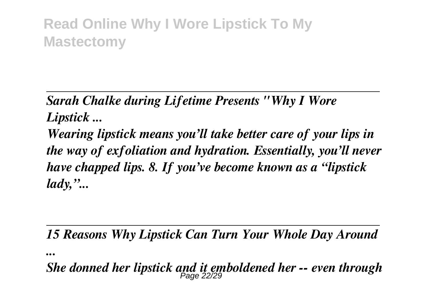*Sarah Chalke during Lifetime Presents "Why I Wore Lipstick ...*

*Wearing lipstick means you'll take better care of your lips in the way of exfoliation and hydration. Essentially, you'll never have chapped lips. 8. If you've become known as a "lipstick lady,"...*

*15 Reasons Why Lipstick Can Turn Your Whole Day Around*

*...*

*She donned her lipstick and it emboldened her -- even through* Page 22/29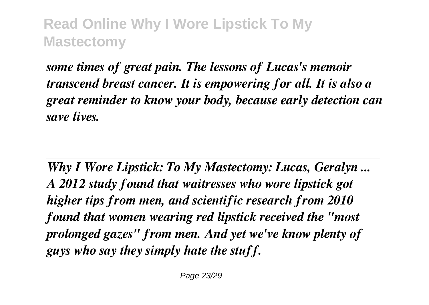*some times of great pain. The lessons of Lucas's memoir transcend breast cancer. It is empowering for all. It is also a great reminder to know your body, because early detection can save lives.*

*Why I Wore Lipstick: To My Mastectomy: Lucas, Geralyn ... A 2012 study found that waitresses who wore lipstick got higher tips from men, and scientific research from 2010 found that women wearing red lipstick received the "most prolonged gazes" from men. And yet we've know plenty of guys who say they simply hate the stuff.*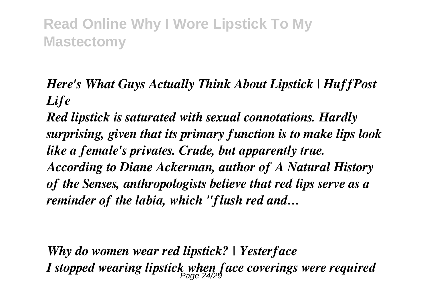*Here's What Guys Actually Think About Lipstick | HuffPost Life*

*Red lipstick is saturated with sexual connotations. Hardly surprising, given that its primary function is to make lips look like a female's privates. Crude, but apparently true. According to Diane Ackerman, author of A Natural History of the Senses, anthropologists believe that red lips serve as a reminder of the labia, which "flush red and…*

*Why do women wear red lipstick? | Yesterface I stopped wearing lipstick when face coverings were required* Page 24/29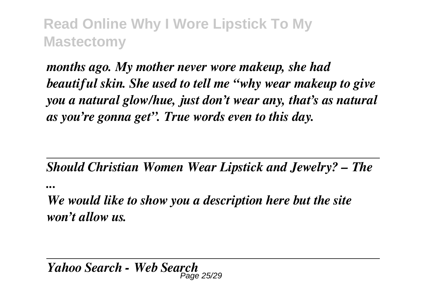*months ago. My mother never wore makeup, she had beautiful skin. She used to tell me "why wear makeup to give you a natural glow/hue, just don't wear any, that's as natural as you're gonna get". True words even to this day.*

*Should Christian Women Wear Lipstick and Jewelry? – The*

*...*

*We would like to show you a description here but the site won't allow us.*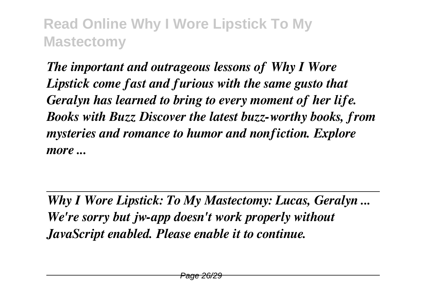*The important and outrageous lessons of Why I Wore Lipstick come fast and furious with the same gusto that Geralyn has learned to bring to every moment of her life. Books with Buzz Discover the latest buzz-worthy books, from mysteries and romance to humor and nonfiction. Explore more ...*

*Why I Wore Lipstick: To My Mastectomy: Lucas, Geralyn ... We're sorry but jw-app doesn't work properly without JavaScript enabled. Please enable it to continue.*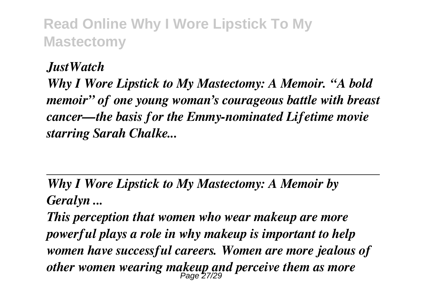*JustWatch*

*Why I Wore Lipstick to My Mastectomy: A Memoir. "A bold memoir" of one young woman's courageous battle with breast cancer—the basis for the Emmy-nominated Lifetime movie starring Sarah Chalke...*

*Why I Wore Lipstick to My Mastectomy: A Memoir by Geralyn ...*

*This perception that women who wear makeup are more powerful plays a role in why makeup is important to help women have successful careers. Women are more jealous of other women wearing makeup and perceive them as more* Page 27/29